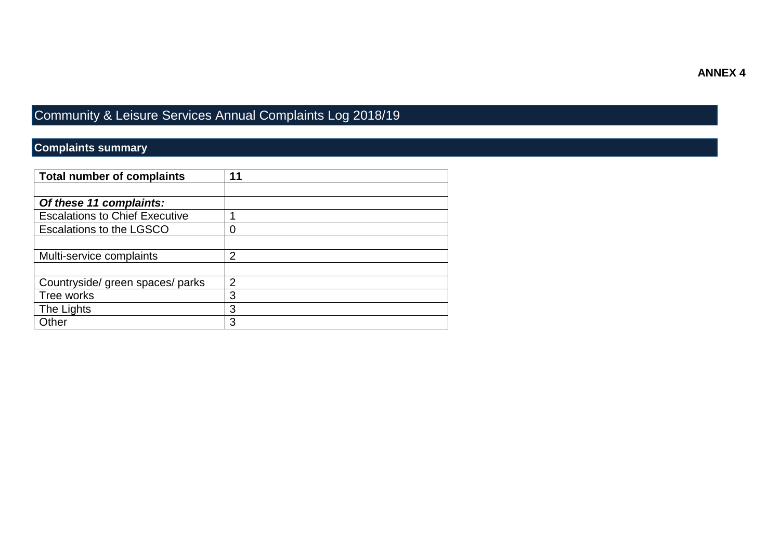## **ANNEX 4**

## Community & Leisure Services Annual Complaints Log 2018/19

## **Complaints summary**

| <b>Total number of complaints</b>     | 11             |
|---------------------------------------|----------------|
|                                       |                |
| Of these 11 complaints:               |                |
| <b>Escalations to Chief Executive</b> |                |
| Escalations to the LGSCO              | 0              |
|                                       |                |
| Multi-service complaints              | $\overline{2}$ |
|                                       |                |
| Countryside/ green spaces/ parks      | $\overline{2}$ |
| Tree works                            | 3              |
| The Lights                            | 3              |
| Other                                 | 3              |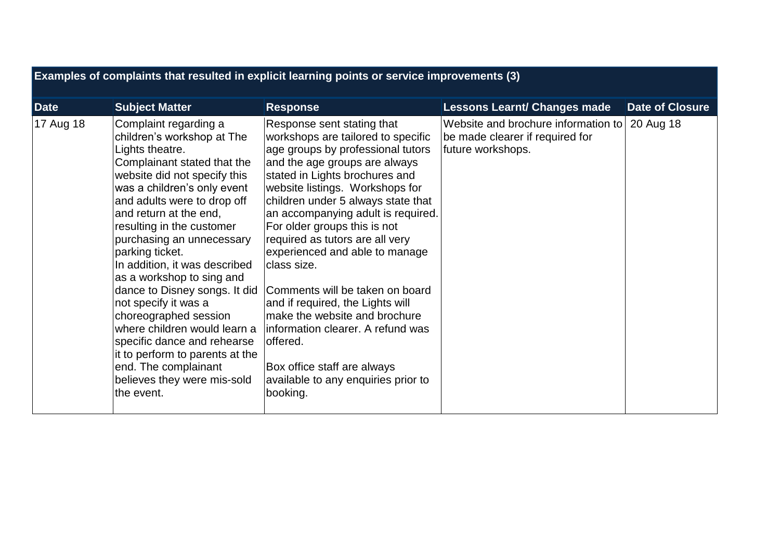| Examples of complaints that resulted in explicit learning points or service improvements (3) |                                                                                                                                                                                                                                                                                                                                                                                                                                                                                                                                                                                                                                   |                                                                                                                                                                                                                                                                                                                                                                                                                                                                                                                                                                                                                                                        |                                                                                             |                        |  |  |
|----------------------------------------------------------------------------------------------|-----------------------------------------------------------------------------------------------------------------------------------------------------------------------------------------------------------------------------------------------------------------------------------------------------------------------------------------------------------------------------------------------------------------------------------------------------------------------------------------------------------------------------------------------------------------------------------------------------------------------------------|--------------------------------------------------------------------------------------------------------------------------------------------------------------------------------------------------------------------------------------------------------------------------------------------------------------------------------------------------------------------------------------------------------------------------------------------------------------------------------------------------------------------------------------------------------------------------------------------------------------------------------------------------------|---------------------------------------------------------------------------------------------|------------------------|--|--|
| <b>Date</b>                                                                                  | <b>Subject Matter</b>                                                                                                                                                                                                                                                                                                                                                                                                                                                                                                                                                                                                             | <b>Response</b>                                                                                                                                                                                                                                                                                                                                                                                                                                                                                                                                                                                                                                        | <b>Lessons Learnt/ Changes made</b>                                                         | <b>Date of Closure</b> |  |  |
| 17 Aug 18                                                                                    | Complaint regarding a<br>children's workshop at The<br>Lights theatre.<br>Complainant stated that the<br>website did not specify this<br>was a children's only event<br>and adults were to drop off<br>and return at the end,<br>resulting in the customer<br>purchasing an unnecessary<br>parking ticket.<br>In addition, it was described<br>as a workshop to sing and<br>dance to Disney songs. It did<br>not specify it was a<br>choreographed session<br>where children would learn a<br>specific dance and rehearse<br>it to perform to parents at the<br>end. The complainant<br>believes they were mis-sold<br>the event. | Response sent stating that<br>workshops are tailored to specific<br>age groups by professional tutors<br>and the age groups are always<br>stated in Lights brochures and<br>website listings. Workshops for<br>children under 5 always state that<br>an accompanying adult is required.<br>For older groups this is not<br>required as tutors are all very<br>experienced and able to manage<br>class size.<br>Comments will be taken on board<br>and if required, the Lights will<br>make the website and brochure<br>information clearer. A refund was<br>offered.<br>Box office staff are always<br>available to any enquiries prior to<br>booking. | Website and brochure information to<br>be made clearer if required for<br>future workshops. | 20 Aug 18              |  |  |